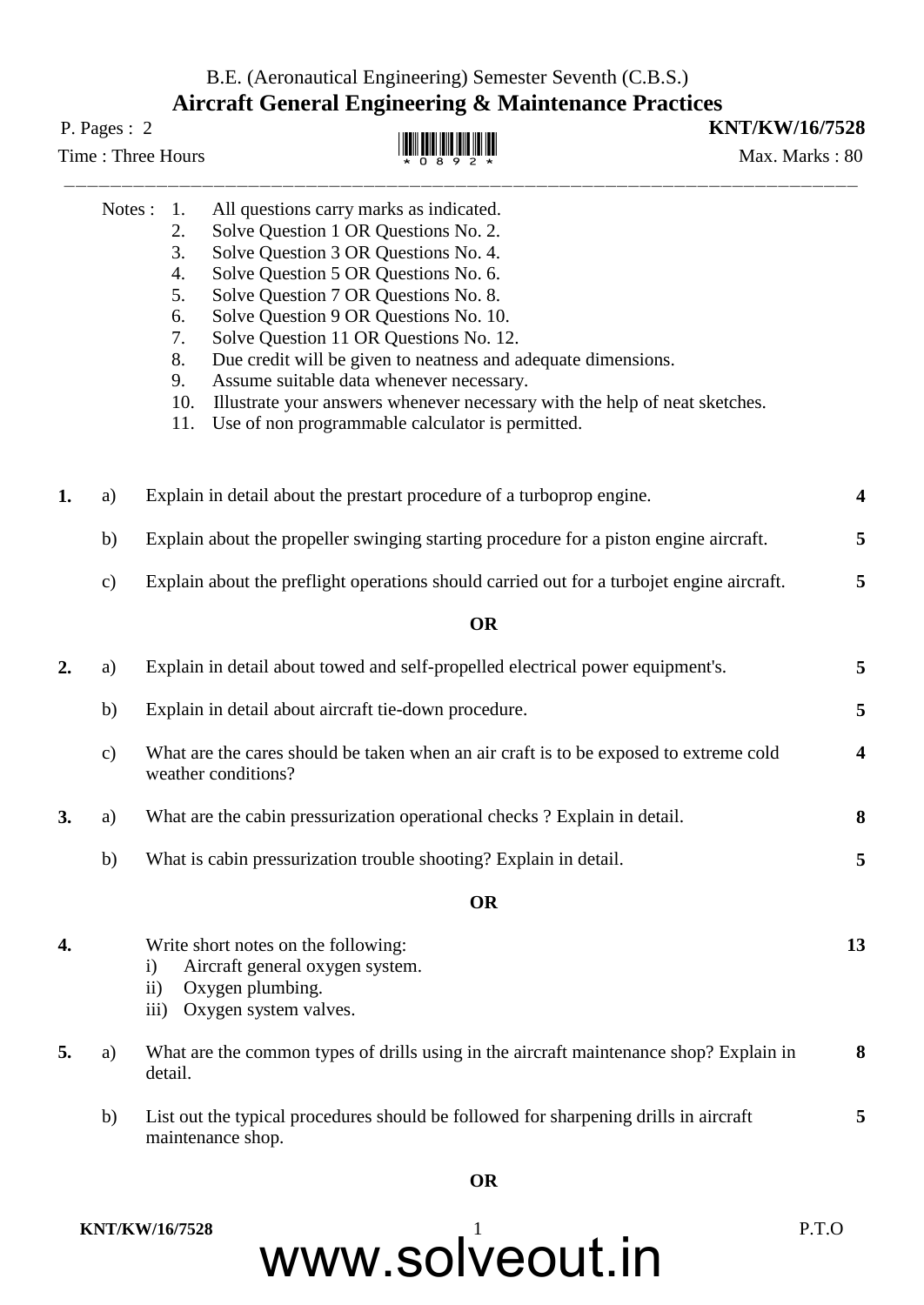## B.E. (Aeronautical Engineering) Semester Seventh (C.B.S.) **Aircraft General Engineering & Maintenance Practices**

## Time : Three Hours  $\mathbb{H}$   $\mathbb{H}$   $\mathbb{H}$   $\mathbb{H}$   $\mathbb{H}$   $\mathbb{H}$   $\mathbb{H}$   $\mathbb{H}$   $\mathbb{H}$   $\mathbb{H}$   $\mathbb{H}$   $\mathbb{H}$   $\mathbb{H}$   $\mathbb{H}$   $\mathbb{H}$   $\mathbb{H}$   $\mathbb{H}$   $\mathbb{H}$   $\mathbb{H}$   $\mathbb{H}$   $\mathbb{H}$   $\mathbb{H}$   $\mathbb$ **AN AN AN AN AN AN AN**

P. Pages : 2 **KNT/KW/16/7528**

|    | Notes :       | 1.                            | All questions carry marks as indicated.                                                                                  |    |
|----|---------------|-------------------------------|--------------------------------------------------------------------------------------------------------------------------|----|
|    |               | 2.                            | Solve Question 1 OR Questions No. 2.                                                                                     |    |
|    |               | 3.                            | Solve Question 3 OR Questions No. 4.                                                                                     |    |
|    |               | 4.                            | Solve Question 5 OR Questions No. 6.                                                                                     |    |
|    |               | 5.<br>6.                      | Solve Question 7 OR Questions No. 8.<br>Solve Question 9 OR Questions No. 10.                                            |    |
|    |               | 7.                            | Solve Question 11 OR Questions No. 12.                                                                                   |    |
|    |               | 8.                            | Due credit will be given to neatness and adequate dimensions.                                                            |    |
|    |               | 9.                            | Assume suitable data whenever necessary.                                                                                 |    |
|    |               | 10.                           | Illustrate your answers whenever necessary with the help of neat sketches.                                               |    |
|    |               | 11.                           | Use of non programmable calculator is permitted.                                                                         |    |
| 1. | a)            |                               | Explain in detail about the prestart procedure of a turboprop engine.                                                    | 4  |
|    | b)            |                               | Explain about the propeller swinging starting procedure for a piston engine aircraft.                                    | 5  |
|    | $\mathbf{c})$ |                               | Explain about the preflight operations should carried out for a turbojet engine aircraft.                                | 5  |
|    |               |                               | <b>OR</b>                                                                                                                |    |
| 2. | a)            |                               | Explain in detail about towed and self-propelled electrical power equipment's.                                           | 5  |
|    | b)            |                               | Explain in detail about aircraft tie-down procedure.                                                                     | 5  |
|    | $\mathbf{c})$ |                               | What are the cares should be taken when an air craft is to be exposed to extreme cold<br>weather conditions?             | 4  |
| 3. | a)            |                               | What are the cabin pressurization operational checks? Explain in detail.                                                 | 8  |
|    | b)            |                               | What is cabin pressurization trouble shooting? Explain in detail.                                                        | 5  |
|    |               |                               | <b>OR</b>                                                                                                                |    |
| 4. |               | $\mathbf{i}$<br>$\mathbf{ii}$ | Write short notes on the following:<br>Aircraft general oxygen system.<br>Oxygen plumbing.<br>iii) Oxygen system valves. | 13 |
| 5. | a)            | detail.                       | What are the common types of drills using in the aircraft maintenance shop? Explain in                                   | 8  |
|    | b)            | maintenance shop.             | List out the typical procedures should be followed for sharpening drills in aircraft                                     | 5  |
|    |               |                               | <b>OR</b>                                                                                                                |    |

## www.solveout.in **KNT/KW/16/7528** P.T.O